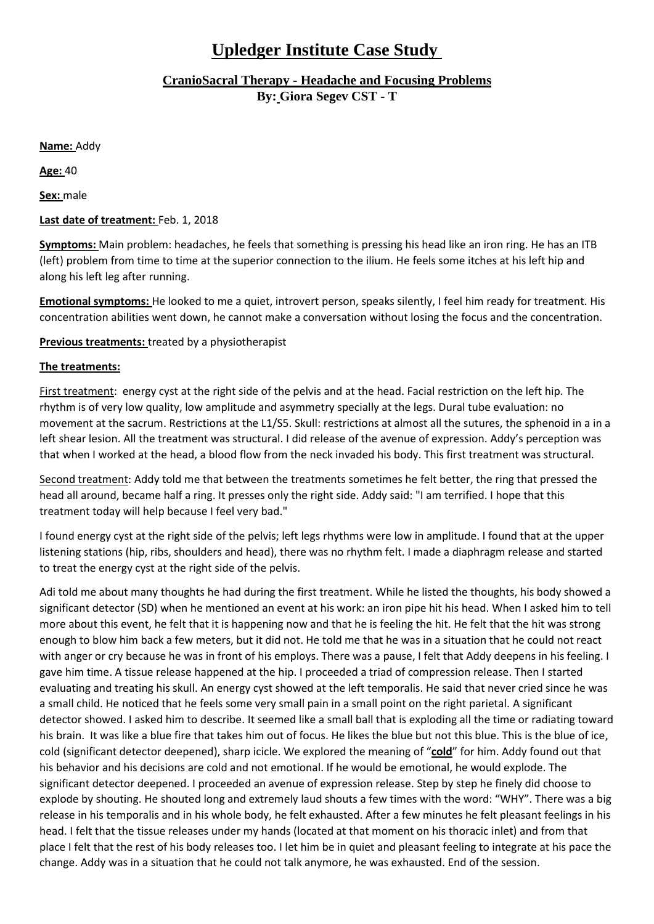## **Upledger Institute Case Study**

## **CranioSacral Therapy - Headache and Focusing Problems By: Giora Segev CST - T**

**Name:** Addy

**Age:** 40

**Sex:** male

## **Last date of treatment:** Feb. 1, 2018

**Symptoms:** Main problem: headaches, he feels that something is pressing his head like an iron ring. He has an ITB (left) problem from time to time at the superior connection to the ilium. He feels some itches at his left hip and along his left leg after running.

**Emotional symptoms:** He looked to me a quiet, introvert person, speaks silently, I feel him ready for treatment. His concentration abilities went down, he cannot make a conversation without losing the focus and the concentration.

**Previous treatments:** treated by a physiotherapist

## **The treatments:**

First treatment: energy cyst at the right side of the pelvis and at the head. Facial restriction on the left hip. The rhythm is of very low quality, low amplitude and asymmetry specially at the legs. Dural tube evaluation: no movement at the sacrum. Restrictions at the L1/S5. Skull: restrictions at almost all the sutures, the sphenoid in a in a left shear lesion. All the treatment was structural. I did release of the avenue of expression. Addy's perception was that when I worked at the head, a blood flow from the neck invaded his body. This first treatment was structural.

Second treatment: Addy told me that between the treatments sometimes he felt better, the ring that pressed the head all around, became half a ring. It presses only the right side. Addy said: "I am terrified. I hope that this treatment today will help because I feel very bad."

I found energy cyst at the right side of the pelvis; left legs rhythms were low in amplitude. I found that at the upper listening stations (hip, ribs, shoulders and head), there was no rhythm felt. I made a diaphragm release and started to treat the energy cyst at the right side of the pelvis.

Adi told me about many thoughts he had during the first treatment. While he listed the thoughts, his body showed a significant detector (SD) when he mentioned an event at his work: an iron pipe hit his head. When I asked him to tell more about this event, he felt that it is happening now and that he is feeling the hit. He felt that the hit was strong enough to blow him back a few meters, but it did not. He told me that he was in a situation that he could not react with anger or cry because he was in front of his employs. There was a pause, I felt that Addy deepens in his feeling. I gave him time. A tissue release happened at the hip. I proceeded a triad of compression release. Then I started evaluating and treating his skull. An energy cyst showed at the left temporalis. He said that never cried since he was a small child. He noticed that he feels some very small pain in a small point on the right parietal. A significant detector showed. I asked him to describe. It seemed like a small ball that is exploding all the time or radiating toward his brain. It was like a blue fire that takes him out of focus. He likes the blue but not this blue. This is the blue of ice, cold (significant detector deepened), sharp icicle. We explored the meaning of "**cold**" for him. Addy found out that his behavior and his decisions are cold and not emotional. If he would be emotional, he would explode. The significant detector deepened. I proceeded an avenue of expression release. Step by step he finely did choose to explode by shouting. He shouted long and extremely laud shouts a few times with the word: "WHY". There was a big release in his temporalis and in his whole body, he felt exhausted. After a few minutes he felt pleasant feelings in his head. I felt that the tissue releases under my hands (located at that moment on his thoracic inlet) and from that place I felt that the rest of his body releases too. I let him be in quiet and pleasant feeling to integrate at his pace the change. Addy was in a situation that he could not talk anymore, he was exhausted. End of the session.